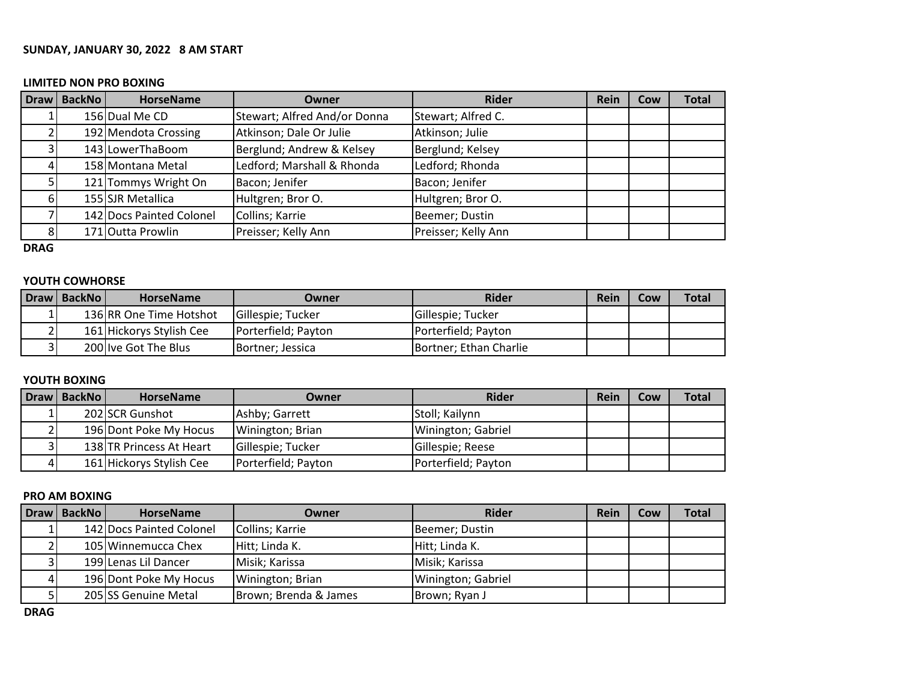### **SUNDAY, JANUARY 30, 2022 8 AM START**

#### **LIMITED NON PRO BOXING**

| Draw   BackNo | <b>HorseName</b>         | Owner                        | <b>Rider</b>        | Rein | Cow | <b>Total</b> |
|---------------|--------------------------|------------------------------|---------------------|------|-----|--------------|
|               | 156 Dual Me CD           | Stewart; Alfred And/or Donna | Stewart; Alfred C.  |      |     |              |
|               | 192 Mendota Crossing     | Atkinson; Dale Or Julie      | Atkinson; Julie     |      |     |              |
|               | 143 LowerThaBoom         | Berglund; Andrew & Kelsey    | Berglund; Kelsey    |      |     |              |
|               | 158 Montana Metal        | Ledford; Marshall & Rhonda   | Ledford; Rhonda     |      |     |              |
|               | 121 Tommys Wright On     | Bacon; Jenifer               | Bacon; Jenifer      |      |     |              |
|               | 155 SJR Metallica        | Hultgren; Bror O.            | Hultgren; Bror O.   |      |     |              |
|               | 142 Docs Painted Colonel | Collins; Karrie              | Beemer; Dustin      |      |     |              |
|               | 171 Outta Prowlin        | Preisser; Kelly Ann          | Preisser; Kelly Ann |      |     |              |

**DRAG**

## **YOUTH COWHORSE**

| Draw   BackNo | <b>HorseName</b>         | <b>Owner</b>              | <b>Rider</b>           | Rein | Cow | <b>Total</b> |
|---------------|--------------------------|---------------------------|------------------------|------|-----|--------------|
|               | 136 RR One Time Hotshot  | <b>IGillespie: Tucker</b> | Gillespie; Tucker      |      |     |              |
|               | 161 Hickorys Stylish Cee | Porterfield; Payton       | Porterfield; Payton    |      |     |              |
|               | 200 Ive Got The Blus     | Bortner; Jessica          | Bortner; Ethan Charlie |      |     |              |

## **YOUTH BOXING**

| Draw   BackNo | <b>HorseName</b>         | Owner               | <b>Rider</b>        | Rein | Cow | <b>Total</b> |
|---------------|--------------------------|---------------------|---------------------|------|-----|--------------|
|               | 202 SCR Gunshot          | Ashby; Garrett      | Stoll; Kailynn      |      |     |              |
|               | 196 Dont Poke My Hocus   | Winington; Brian    | Winington; Gabriel  |      |     |              |
|               | 138 TR Princess At Heart | Gillespie; Tucker   | Gillespie; Reese    |      |     |              |
|               | 161 Hickorys Stylish Cee | Porterfield; Payton | Porterfield; Payton |      |     |              |

## **PRO AM BOXING**

| Draw   BackNo | <b>HorseName</b>         | Owner                 | <b>Rider</b>       | Rein | Cow | Total |
|---------------|--------------------------|-----------------------|--------------------|------|-----|-------|
|               | 142 Docs Painted Colonel | Collins; Karrie       | Beemer; Dustin     |      |     |       |
|               | 105 Winnemucca Chex      | Hitt; Linda K.        | Hitt; Linda K.     |      |     |       |
|               | 199 Lenas Lil Dancer     | Misik; Karissa        | Misik; Karissa     |      |     |       |
|               | 196 Dont Poke My Hocus   | Winington; Brian      | Winington; Gabriel |      |     |       |
|               | 205 SS Genuine Metal     | Brown; Brenda & James | Brown; Ryan J      |      |     |       |

**DRAG**